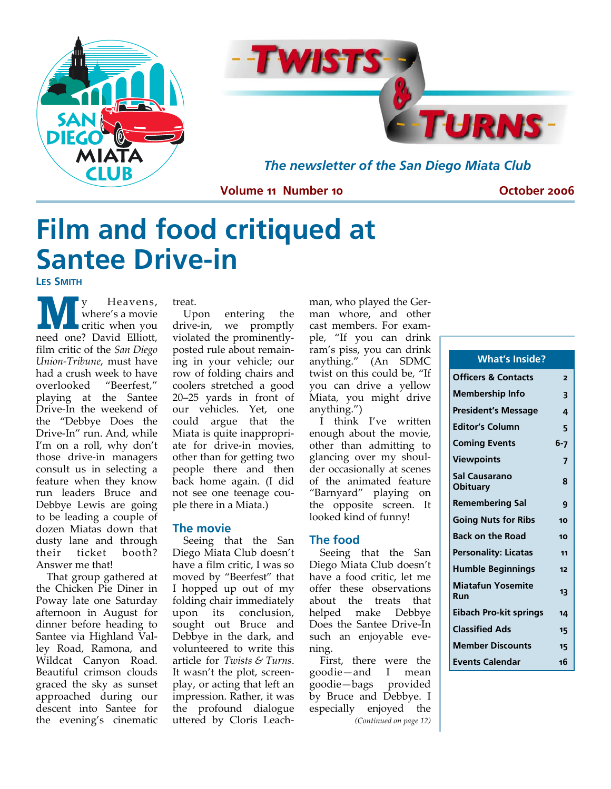



*The newsletter of the San Diego Miata Club* 

#### **Volume 11 Number 10**

**October 2006** 

# **Film and food critiqued at Santee Drive-in**

**LES SMITH**

**M y** Heavens,<br>where's a movie<br>critic when you where's a movie critic when you need one? David Elliott, film critic of the *San Diego Union‐Tribune*, must have had a crush week to have overlooked "Beerfest," playing at the Santee Drive‐In the weekend of the "Debbye Does the Drive‐In" run. And, while I'm on a roll, why don't those drive‐in managers consult us in selecting a feature when they know run leaders Bruce and Debbye Lewis are going to be leading a couple of dozen Miatas down that dusty lane and through their ticket booth? Answer me that!

That group gathered at the Chicken Pie Diner in Poway late one Saturday afternoon in August for dinner before heading to Santee via Highland Val‐ ley Road, Ramona, and Wildcat Canyon Road. Beautiful crimson clouds graced the sky as sunset approached during our descent into Santee for the evening's cinematic treat.

Upon entering the drive‐in, we promptly violated the prominently‐ posted rule about remain‐ ing in your vehicle; our row of folding chairs and coolers stretched a good 20–25 yards in front of our vehicles. Yet, one could argue that the Miata is quite inappropri‐ ate for drive‐in movies, other than for getting two people there and then back home again. (I did not see one teenage cou‐ ple there in a Miata.)

#### **The movie**

Seeing that the San Diego Miata Club doesn't have a film critic, I was so moved by "Beerfest" that I hopped up out of my folding chair immediately upon its conclusion, sought out Bruce and Debbye in the dark, and volunteered to write this article for *Twists & Turns*. It wasn't the plot, screen‐ play, or acting that left an impression. Rather, it was the profound dialogue uttered by Cloris Leach‐

man, who played the Ger‐ man whore, and other cast members. For exam‐ ple, "If you can drink ram's piss, you can drink anything." (An SDMC twist on this could be, "If you can drive a yellow Miata, you might drive anything.")

I think I've written enough about the movie, other than admitting to glancing over my shoul‐ der occasionally at scenes of the animated feature "Barnyard" playing on the opposite screen. It looked kind of funny!

#### **The food**

Seeing that the San Diego Miata Club doesn't have a food critic, let me offer these observations about the treats that helped make Debbye Does the Santee Drive‐In such an enjoyable evening.

First, there were the goodie—and I mean goodie—bags provided by Bruce and Debbye. I especially enjoyed the *(Continued on page 12)*

| <b>What's Inside?</b>            |         |
|----------------------------------|---------|
| <b>Officers &amp; Contacts</b>   | 2       |
| <b>Membership Info</b>           | 3       |
| <b>President's Message</b>       | 4       |
| <b>Editor's Column</b>           | 5       |
| <b>Coming Events</b>             | $6 - 7$ |
| <b>Viewpoints</b>                | 7       |
| Sal Causarano<br><b>Obituary</b> | ጸ       |
| <b>Remembering Sal</b>           | 9       |
| <b>Going Nuts for Ribs</b>       | 10      |
| <b>Back on the Road</b>          | 10      |
| Personality: Licatas             | 11      |
| <b>Humble Beginnings</b>         | 12      |
| <b>Miatafun Yosemite</b><br>Run  | 13      |
| <b>Eibach Pro-kit springs</b>    | 14      |
| <b>Classified Ads</b>            | 15      |
| <b>Member Discounts</b>          | 15      |
| <b>Events Calendar</b>           | 16      |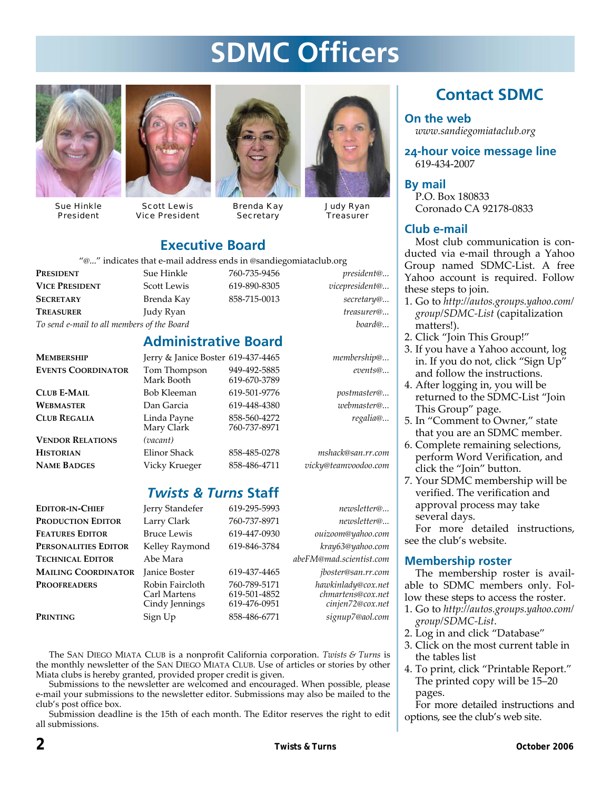# **SDMC Officers**



Sue Hinkle President



Scott Lewis Vice President



Brenda Kay **Secretary** 



Judy Ryan **Treasurer** 

### **Executive Board**

"@..." indicates that e‐mail address ends in @sandiegomiataclub.org

*To send e‐mail to all members of the Board board@...*

| Sue Hinkle                           | 760-735-9456 | <i>president</i> @                                             |
|--------------------------------------|--------------|----------------------------------------------------------------|
| <b>VICE PRESIDENT</b><br>Scott Lewis | 619-890-8305 | vicepresident@                                                 |
| Brenda Kay                           | 858-715-0013 | secretary@                                                     |
| Judy Ryan                            |              | treasurer@                                                     |
|                                      |              | C Thuicates that e-mail address ends in Csandiegoniataciup.org |

### **Administrative Board**

| <b>MEMBERSHIP</b>         | Jerry & Janice Boster 619-437-4465 |                              | membership@ |
|---------------------------|------------------------------------|------------------------------|-------------|
| <b>EVENTS COORDINATOR</b> | Tom Thompson<br>Mark Booth         | 949-492-5885<br>619-670-3789 | events@     |
| <b>CLUB E-MAIL</b>        | <b>Bob Kleeman</b>                 | 619-501-9776                 | postmaster@ |
| <b>WEBMASTER</b>          | Dan Garcia                         | 619-448-4380                 | webmaster@  |
| <b>CLUB REGALIA</b>       | Linda Payne<br>Mary Clark          | 858-560-4272<br>760-737-8971 | regalia@    |
| <b>VENDOR RELATIONS</b>   | (vacant)                           |                              |             |

760-737-8971 **HISTORIAN** Elinor Shack 858‐485‐0278 *mshack@san.rr.com* **NAME BADGES** Vicky Krueger 858‐486‐4711 *vicky@teamvoodoo.com*

### *Twists & Turns* **Staff**

| <b>EDITOR-IN-CHIEF</b>     | Jerry Standefer                                   | 619-295-5993                                 | newsletter@                                                 |  |
|----------------------------|---------------------------------------------------|----------------------------------------------|-------------------------------------------------------------|--|
| Production Editor          | Larry Clark                                       | 760-737-8971                                 | newsletter@                                                 |  |
| <b>FEATURES EDITOR</b>     | <b>Bruce Lewis</b>                                | 619-447-0930                                 | ouizoom@yahoo.com                                           |  |
| PERSONALITIES EDITOR       | Kelley Raymond                                    | 619-846-3784                                 | kray63@yahoo.com                                            |  |
| <b>TECHNICAL EDITOR</b>    | Abe Mara                                          |                                              | abeFM@mad.scientist.com                                     |  |
| <b>MAILING COORDINATOR</b> | <b>Janice Boster</b>                              | 619-437-4465                                 | jboster@san.rr.com                                          |  |
| <b>PROOFREADERS</b>        | Robin Faircloth<br>Carl Martens<br>Cindy Jennings | 760-789-5171<br>619-501-4852<br>619-476-0951 | hawkinlady@cox.net<br>chmartens@cox.net<br>cinjen72@cox.net |  |
| Printing                   | Sign Up                                           | 858-486-6771                                 | signup7@aol.com                                             |  |
|                            |                                                   |                                              |                                                             |  |

The SAN DIEGO MIATA CLUB is a nonprofit California corporation. *Twists & Turns* is the monthly newsletter of the SAN DIEGO MIATA CLUB. Use of articles or stories by other Miata clubs is hereby granted, provided proper credit is given.

Submissions to the newsletter are welcomed and encouraged. When possible, please e‐mail your submissions to the newsletter editor. Submissions may also be mailed to the club's post office box.

Submission deadline is the 15th of each month. The Editor reserves the right to edit all submissions.

### **Contact SDMC**

**On the web**  *www.sandiegomiataclub.org*

**24-hour voice message line**  619‐434‐2007

**By mail**  P.O. Box 180833 Coronado CA 92178‐0833

#### **Club e-mail**

Most club communication is conducted via e‐mail through a Yahoo Group named SDMC‐List. A free Yahoo account is required. Follow these steps to join.

- 1. Go to *http://autos.groups.yahoo.com/ group/SDMC‐List* (capitalization matters!).
- 2. Click "Join This Group!"
- 3. If you have a Yahoo account, log in. If you do not, click "Sign Up" and follow the instructions.
- 4. After logging in, you will be returned to the SDMC‐List "Join This Group" page.
- 5. In "Comment to Owner," state that you are an SDMC member.
- 6. Complete remaining selections, perform Word Verification, and click the "Join" button.
- 7. Your SDMC membership will be verified. The verification and approval process may take several days.

For more detailed instructions, see the club's website.

#### **Membership roster**

The membership roster is avail‐ able to SDMC members only. Fol‐ low these steps to access the roster.

- 1. Go to *http://autos.groups.yahoo.com/ group/SDMC‐List*.
- 2. Log in and click "Database"
- 3. Click on the most current table in the tables list
- 4. To print, click "Printable Report." The printed copy will be 15–20 pages.

For more detailed instructions and options, see the club's web site.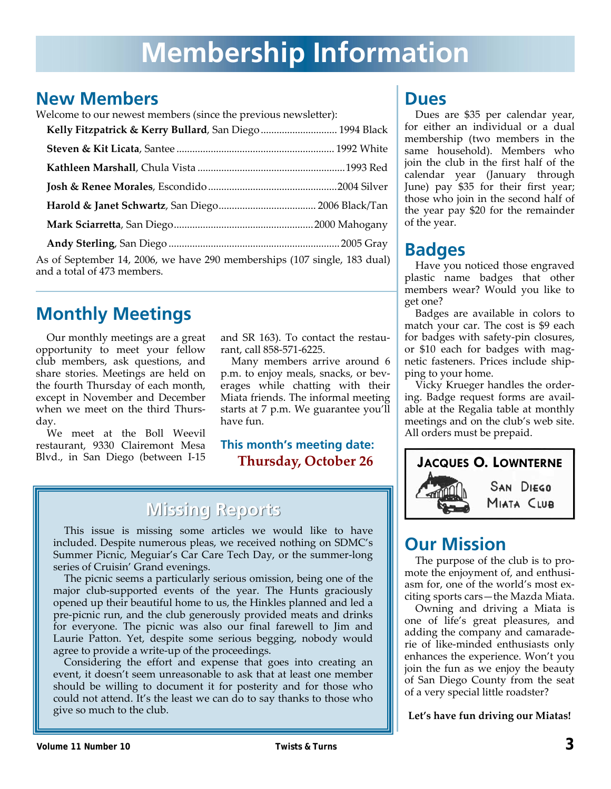# **Membership Information**

### **New Members**

Welcome to our newest members (since the previous newsletter):

| Kelly Fitzpatrick & Kerry Bullard, San Diego 1994 Black                                                 |  |
|---------------------------------------------------------------------------------------------------------|--|
|                                                                                                         |  |
|                                                                                                         |  |
|                                                                                                         |  |
|                                                                                                         |  |
|                                                                                                         |  |
|                                                                                                         |  |
| As of September 14, 2006, we have 290 memberships (107 single, 183 dual)<br>and a total of 473 members. |  |

## **Monthly Meetings**

Our monthly meetings are a great opportunity to meet your fellow club members, ask questions, and share stories. Meetings are held on the fourth Thursday of each month, except in November and December when we meet on the third Thursday.

We meet at the Boll Weevil restaurant, 9330 Clairemont Mesa Blvd., in San Diego (between I‐15 and SR 163). To contact the restau‐ rant, call 858‐571‐6225.

Many members arrive around 6 p.m. to enjoy meals, snacks, or beverages while chatting with their Miata friends. The informal meeting starts at 7 p.m. We guarantee you'll have fun.

### **This month's meeting date: Thursday, October 26**

## **Missing Reports Missing Reports**

This issue is missing some articles we would like to have included. Despite numerous pleas, we received nothing on SDMC's Summer Picnic, Meguiar's Car Care Tech Day, or the summer‐long series of Cruisin' Grand evenings.

The picnic seems a particularly serious omission, being one of the major club‐supported events of the year. The Hunts graciously opened up their beautiful home to us, the Hinkles planned and led a pre‐picnic run, and the club generously provided meats and drinks for everyone. The picnic was also our final farewell to Jim and Laurie Patton. Yet, despite some serious begging, nobody would agree to provide a write‐up of the proceedings.

Considering the effort and expense that goes into creating an event, it doesn't seem unreasonable to ask that at least one member should be willing to document it for posterity and for those who could not attend. It's the least we can do to say thanks to those who give so much to the club.

### **Dues**

Dues are \$35 per calendar year, for either an individual or a dual membership (two members in the same household). Members who join the club in the first half of the calendar year (January through June) pay \$35 for their first year; those who join in the second half of the year pay \$20 for the remainder of the year.

## **Badges**

Have you noticed those engraved plastic name badges that other members wear? Would you like to get one?

Badges are available in colors to match your car. The cost is \$9 each for badges with safety‐pin closures, or \$10 each for badges with mag‐ netic fasteners. Prices include ship‐ ping to your home.

Vicky Krueger handles the order‐ ing. Badge request forms are avail‐ able at the Regalia table at monthly meetings and on the club's web site. All orders must be prepaid.



## **Our Mission**

The purpose of the club is to pro‐ mote the enjoyment of, and enthusiasm for, one of the world's most ex‐ citing sports cars—the Mazda Miata.

Owning and driving a Miata is one of life's great pleasures, and adding the company and camarade‐ rie of like‐minded enthusiasts only enhances the experience. Won't you join the fun as we enjoy the beauty of San Diego County from the seat of a very special little roadster?

**Let's have fun driving our Miatas!**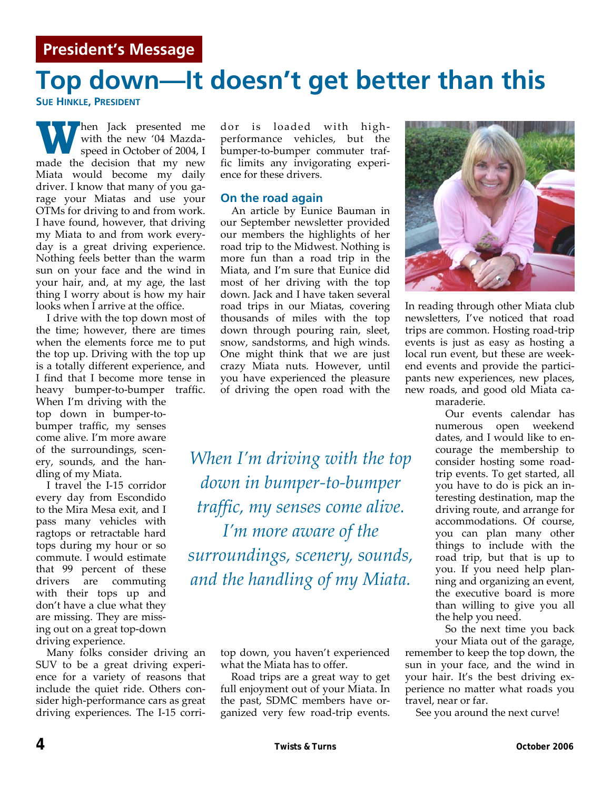# **Top down—It doesn't get better than this**

**SUE HINKLE, PRESIDENT**

**hen** Jack presented me with the new '04 Mazda‐ speed in October of 2004, I made the decision that my new Miata would become my daily driver. I know that many of you garage your Miatas and use your OTMs for driving to and from work. I have found, however, that driving my Miata to and from work every‐ day is a great driving experience. Nothing feels better than the warm sun on your face and the wind in your hair, and, at my age, the last thing I worry about is how my hair looks when I arrive at the office.

I drive with the top down most of the time; however, there are times when the elements force me to put the top up. Driving with the top up is a totally different experience, and I find that I become more tense in heavy bumper-to-bumper traffic. When I'm driving with the top down in bumper-tobumper traffic, my senses come alive. I'm more aware of the surroundings, scen‐ ery, sounds, and the han‐ dling of my Miata.

I travel the I‐15 corridor every day from Escondido to the Mira Mesa exit, and I pass many vehicles with ragtops or retractable hard tops during my hour or so commute. I would estimate that 99 percent of these drivers are commuting with their tops up and don't have a clue what they are missing. They are miss‐ ing out on a great top‐down driving experience.

Many folks consider driving an SUV to be a great driving experi‐ ence for a variety of reasons that include the quiet ride. Others consider high‐performance cars as great driving experiences. The I‐15 corri‐

dor is loaded with high‐ performance vehicles, but the bumper‐to‐bumper commuter traf‐ fic limits any invigorating experi‐ ence for these drivers.

#### **On the road again**

An article by Eunice Bauman in our September newsletter provided our members the highlights of her road trip to the Midwest. Nothing is more fun than a road trip in the Miata, and I'm sure that Eunice did most of her driving with the top down. Jack and I have taken several road trips in our Miatas, covering thousands of miles with the top down through pouring rain, sleet, snow, sandstorms, and high winds. One might think that we are just crazy Miata nuts. However, until you have experienced the pleasure of driving the open road with the

*When I'm driving with the top down in bumper‐to‐bumper traffic, my senses come alive. I'm more aware of the surroundings, scenery, sounds, and the handling of my Miata.*

> top down, you haven't experienced what the Miata has to offer.

> Road trips are a great way to get full enjoyment out of your Miata. In the past, SDMC members have or‐ ganized very few road‐trip events.



In reading through other Miata club newsletters, I've noticed that road trips are common. Hosting road‐trip events is just as easy as hosting a local run event, but these are week‐ end events and provide the partici‐ pants new experiences, new places, new roads, and good old Miata ca‐ maraderie.

Our events calendar has numerous open weekend dates, and I would like to en‐ courage the membership to consider hosting some road‐ trip events. To get started, all you have to do is pick an in‐ teresting destination, map the driving route, and arrange for accommodations. Of course, you can plan many other things to include with the road trip, but that is up to you. If you need help plan‐ ning and organizing an event, the executive board is more than willing to give you all the help you need.

So the next time you back

your Miata out of the garage, remember to keep the top down, the sun in your face, and the wind in your hair. It's the best driving ex‐ perience no matter what roads you travel, near or far.

See you around the next curve!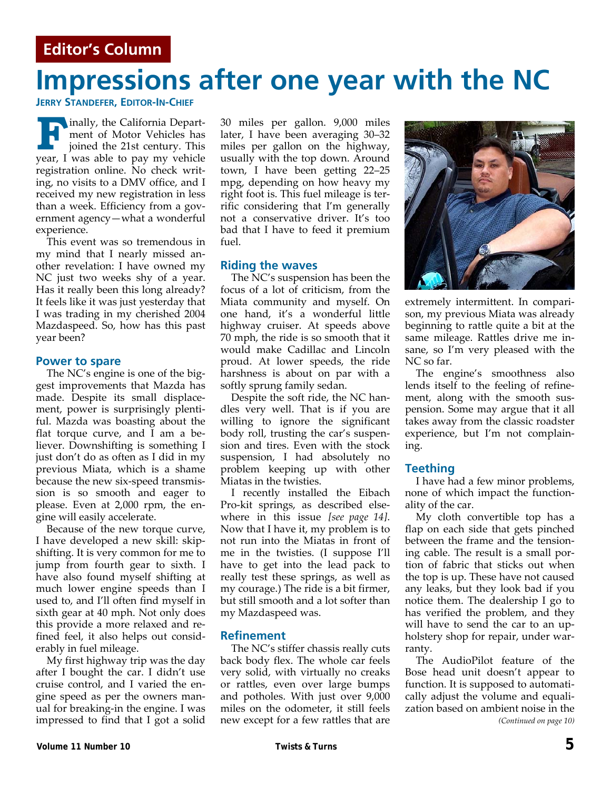# **Impressions after one year with the NC**

**JERRY STANDEFER, EDITOR-IN-CHIEF**

**F** inally, the California Department of Motor Vehicles has joined the 21st century. This year, I was able to pay my vehicle registration online. No check writ‐ ing, no visits to a DMV office, and I received my new registration in less than a week. Efficiency from a government agency—what a wonderful experience.

This event was so tremendous in my mind that I nearly missed an‐ other revelation: I have owned my NC just two weeks shy of a year. Has it really been this long already? It feels like it was just yesterday that I was trading in my cherished 2004 Mazdaspeed. So, how has this past year been?

#### **Power to spare**

The NC's engine is one of the biggest improvements that Mazda has made. Despite its small displace‐ ment, power is surprisingly plenti‐ ful. Mazda was boasting about the flat torque curve, and I am a be‐ liever. Downshifting is something I just don't do as often as I did in my previous Miata, which is a shame because the new six‐speed transmis‐ sion is so smooth and eager to please. Even at 2,000 rpm, the en‐ gine will easily accelerate.

Because of the new torque curve, I have developed a new skill: skip‐ shifting. It is very common for me to jump from fourth gear to sixth. I have also found myself shifting at much lower engine speeds than I used to, and I'll often find myself in sixth gear at 40 mph. Not only does this provide a more relaxed and re‐ fined feel, it also helps out consid‐ erably in fuel mileage.

My first highway trip was the day after I bought the car. I didn't use cruise control, and I varied the engine speed as per the owners man‐ ual for breaking‐in the engine. I was impressed to find that I got a solid 30 miles per gallon. 9,000 miles later, I have been averaging 30–32 miles per gallon on the highway, usually with the top down. Around town, I have been getting 22–25 mpg, depending on how heavy my right foot is. This fuel mileage is ter‐ rific considering that I'm generally not a conservative driver. It's too bad that I have to feed it premium fuel.

#### **Riding the waves**

The NC's suspension has been the focus of a lot of criticism, from the Miata community and myself. On one hand, it's a wonderful little highway cruiser. At speeds above 70 mph, the ride is so smooth that it would make Cadillac and Lincoln proud. At lower speeds, the ride harshness is about on par with a softly sprung family sedan.

Despite the soft ride, the NC han‐ dles very well. That is if you are willing to ignore the significant body roll, trusting the car's suspen‐ sion and tires. Even with the stock suspension, I had absolutely no problem keeping up with other Miatas in the twisties.

I recently installed the Eibach Pro‐kit springs, as described else‐ where in this issue *[see page 14]*. Now that I have it, my problem is to not run into the Miatas in front of me in the twisties. (I suppose I'll have to get into the lead pack to really test these springs, as well as my courage.) The ride is a bit firmer, but still smooth and a lot softer than my Mazdaspeed was.

#### **Refinement**

The NC's stiffer chassis really cuts back body flex. The whole car feels very solid, with virtually no creaks or rattles, even over large bumps and potholes. With just over 9,000 miles on the odometer, it still feels new except for a few rattles that are



extremely intermittent. In compari‐ son, my previous Miata was already beginning to rattle quite a bit at the same mileage. Rattles drive me in‐ sane, so I'm very pleased with the NC so far.

The engine's smoothness also lends itself to the feeling of refine‐ ment, along with the smooth suspension. Some may argue that it all takes away from the classic roadster experience, but I'm not complain‐ ing.

#### **Teething**

I have had a few minor problems, none of which impact the function‐ ality of the car.

My cloth convertible top has a flap on each side that gets pinched between the frame and the tensioning cable. The result is a small por‐ tion of fabric that sticks out when the top is up. These have not caused any leaks, but they look bad if you notice them. The dealership I go to has verified the problem, and they will have to send the car to an upholstery shop for repair, under war‐ ranty.

The AudioPilot feature of the Bose head unit doesn't appear to function. It is supposed to automati‐ cally adjust the volume and equali‐ zation based on ambient noise in the *(Continued on page 10)*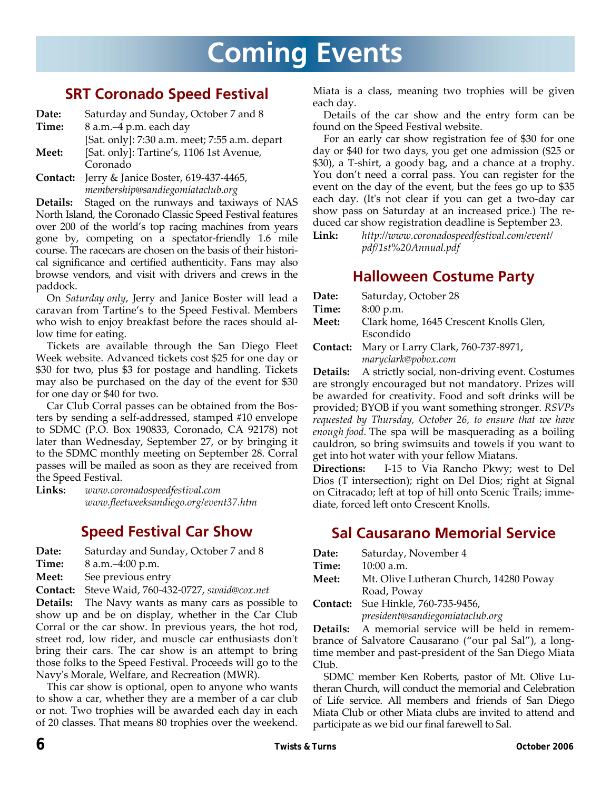# **Coming Events**

### **SRT Coronado Speed Festival**

**Date:** Saturday and Sunday, October 7 and 8 **Time:** 8 a.m.–4 p.m. each day

[Sat. only]: 7:30 a.m. meet; 7:55 a.m. depart

**Meet:** [Sat. only]: Tartine's, 1106 1st Avenue, Coronado

**Contact:** Jerry & Janice Boster, 619‐437‐4465, *membership@sandiegomiataclub.org*

**Details:** Staged on the runways and taxiways of NAS North Island, the Coronado Classic Speed Festival features over 200 of the world's top racing machines from years gone by, competing on a spectator‐friendly 1.6 mile course. The racecars are chosen on the basis of their histori‐ cal significance and certified authenticity. Fans may also browse vendors, and visit with drivers and crews in the paddock.

On *Saturday only*, Jerry and Janice Boster will lead a caravan from Tartine's to the Speed Festival. Members who wish to enjoy breakfast before the races should allow time for eating.

Tickets are available through the San Diego Fleet Week website. Advanced tickets cost \$25 for one day or \$30 for two, plus \$3 for postage and handling. Tickets may also be purchased on the day of the event for \$30 for one day or \$40 for two.

Car Club Corral passes can be obtained from the Bos‐ ters by sending a self‐addressed, stamped #10 envelope to SDMC (P.O. Box 190833, Coronado, CA 92178) not later than Wednesday, September 27, or by bringing it to the SDMC monthly meeting on September 28. Corral passes will be mailed as soon as they are received from the Speed Festival.

**Links:** *www.coronadospeedfestival.com www.fleetweeksandiego.org/event37.htm*

### **Speed Festival Car Show**

**Date:** Saturday and Sunday, October 7 and 8

- **Time:** 8 a.m.–4:00 p.m.
- **Meet:** See previous entry

**Contact:** Steve Waid, 760‐432‐0727, *swaid@cox.net*

**Details:** The Navy wants as many cars as possible to show up and be on display, whether in the Car Club Corral or the car show. In previous years, the hot rod, street rod, low rider, and muscle car enthusiasts donʹt bring their cars. The car show is an attempt to bring those folks to the Speed Festival. Proceeds will go to the Navyʹs Morale, Welfare, and Recreation (MWR).

This car show is optional, open to anyone who wants to show a car, whether they are a member of a car club or not. Two trophies will be awarded each day in each of 20 classes. That means 80 trophies over the weekend. Miata is a class, meaning two trophies will be given each day.

Details of the car show and the entry form can be found on the Speed Festival website.

For an early car show registration fee of \$30 for one day or \$40 for two days, you get one admission (\$25 or \$30), a T‐shirt, a goody bag, and a chance at a trophy. You don't need a corral pass. You can register for the event on the day of the event, but the fees go up to \$35 each day. (Itʹs not clear if you can get a two‐day car show pass on Saturday at an increased price.) The re‐ duced car show registration deadline is September 23.

**Link:** *http://www.coronadospeedfestival.com/event/ pdf/1st%20Annual.pdf*

### **Halloween Costume Party**

| Date:    | Saturday, October 28                   |
|----------|----------------------------------------|
| Time:    | 8:00 p.m.                              |
| Meet:    | Clark home, 1645 Crescent Knolls Glen, |
|          | Escondido                              |
| Contact: | Mary or Larry Clark, 760-737-8971,     |
|          | maryclark@pobox.com                    |

Details: A strictly social, non-driving event. Costumes are strongly encouraged but not mandatory. Prizes will be awarded for creativity. Food and soft drinks will be provided; BYOB if you want something stronger. *RSVPs requested by Thursday, October 26, to ensure that we have enough food.* The spa will be masquerading as a boiling cauldron, so bring swimsuits and towels if you want to get into hot water with your fellow Miatans.

**Directions:** I-15 to Via Rancho Pkwy; west to Del Dios (T intersection); right on Del Dios; right at Signal on Citracado; left at top of hill onto Scenic Trails; imme‐ diate, forced left onto Crescent Knolls.

### **Sal Causarano Memorial Service**

| Date: | Saturday, November 4                      |
|-------|-------------------------------------------|
| Time: | $10:00$ a.m.                              |
| Meet: | Mt. Olive Lutheran Church, 14280 Poway    |
|       | Road, Poway                               |
|       | <b>Contact:</b> Sue Hinkle, 760-735-9456. |

**Contact:** Sue Hinkle, 760‐735‐9456, *president@sandiegomiataclub.org*

**Details:** A memorial service will be held in remem‐ brance of Salvatore Causarano ("our pal Sal"), a long‐ time member and past‐president of the San Diego Miata Club.

SDMC member Ken Roberts, pastor of Mt. Olive Lu‐ theran Church, will conduct the memorial and Celebration of Life service. All members and friends of San Diego Miata Club or other Miata clubs are invited to attend and participate as we bid our final farewell to Sal.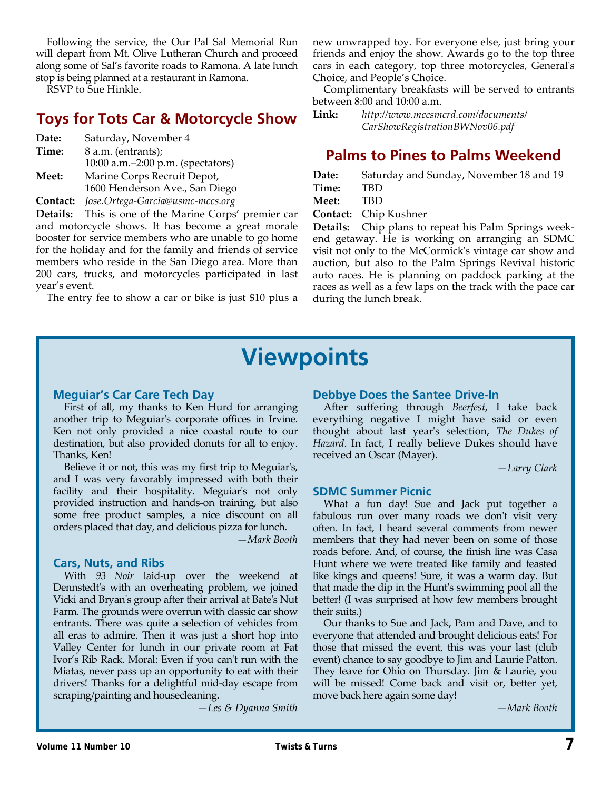Following the service, the Our Pal Sal Memorial Run will depart from Mt. Olive Lutheran Church and proceed along some of Sal's favorite roads to Ramona. A late lunch stop is being planned at a restaurant in Ramona.

RSVP to Sue Hinkle.

### **Toys for Tots Car & Motorcycle Show**

| Saturday, November 4                                          |
|---------------------------------------------------------------|
| 8 a.m. (entrants);                                            |
| 10:00 a.m. $-2:00$ p.m. (spectators)                          |
| Marine Corps Recruit Depot,<br>1600 Henderson Ave., San Diego |
|                                                               |

**Contact:** *Jose.Ortega‐Garcia@usmc‐mccs.org*

**Details:** This is one of the Marine Corps' premier car and motorcycle shows. It has become a great morale booster for service members who are unable to go home for the holiday and for the family and friends of service members who reside in the San Diego area. More than 200 cars, trucks, and motorcycles participated in last year's event.

The entry fee to show a car or bike is just \$10 plus a

new unwrapped toy. For everyone else, just bring your friends and enjoy the show. Awards go to the top three cars in each category, top three motorcycles, Generalʹs Choice, and People's Choice.

Complimentary breakfasts will be served to entrants between 8:00 and 10:00 a.m.

**Link:** *http://www.mccsmcrd.com/documents/ CarShowRegistrationBWNov06.pdf*

### **Palms to Pines to Palms Weekend**

**Date:** Saturday and Sunday, November 18 and 19 **Time:** TBD **Meet:** TBD

**Contact:** Chip Kushner

**Details:** Chip plans to repeat his Palm Springs week‐ end getaway. He is working on arranging an SDMC visit not only to the McCormickʹs vintage car show and auction, but also to the Palm Springs Revival historic auto races. He is planning on paddock parking at the races as well as a few laps on the track with the pace car during the lunch break.

## **Viewpoints**

#### **Meguiar's Car Care Tech Day**

First of all, my thanks to Ken Hurd for arranging another trip to Meguiarʹs corporate offices in Irvine. Ken not only provided a nice coastal route to our destination, but also provided donuts for all to enjoy. Thanks, Ken!

Believe it or not, this was my first trip to Meguiar's, and I was very favorably impressed with both their facility and their hospitality. Meguiar's not only provided instruction and hands‐on training, but also some free product samples, a nice discount on all orders placed that day, and delicious pizza for lunch.

*—Mark Booth*

#### **Cars, Nuts, and Ribs**

With *93 Noir* laid‐up over the weekend at Dennstedt's with an overheating problem, we joined Vicki and Bryanʹs group after their arrival at Bateʹs Nut Farm. The grounds were overrun with classic car show entrants. There was quite a selection of vehicles from all eras to admire. Then it was just a short hop into Valley Center for lunch in our private room at Fat Ivor's Rib Rack. Moral: Even if you can't run with the Miatas, never pass up an opportunity to eat with their drivers! Thanks for a delightful mid‐day escape from scraping/painting and housecleaning.

*—Les & Dyanna Smith*

#### **Debbye Does the Santee Drive-In**

After suffering through *Beerfest*, I take back everything negative I might have said or even thought about last yearʹs selection, *The Dukes of Hazard*. In fact, I really believe Dukes should have received an Oscar (Mayer).

*—Larry Clark*

#### **SDMC Summer Picnic**

What a fun day! Sue and Jack put together a fabulous run over many roads we don't visit very often. In fact, I heard several comments from newer members that they had never been on some of those roads before. And, of course, the finish line was Casa Hunt where we were treated like family and feasted like kings and queens! Sure, it was a warm day. But that made the dip in the Huntʹs swimming pool all the better! (I was surprised at how few members brought their suits.)

Our thanks to Sue and Jack, Pam and Dave, and to everyone that attended and brought delicious eats! For those that missed the event, this was your last (club event) chance to say goodbye to Jim and Laurie Patton. They leave for Ohio on Thursday. Jim & Laurie, you will be missed! Come back and visit or, better yet, move back here again some day!

*—Mark Booth*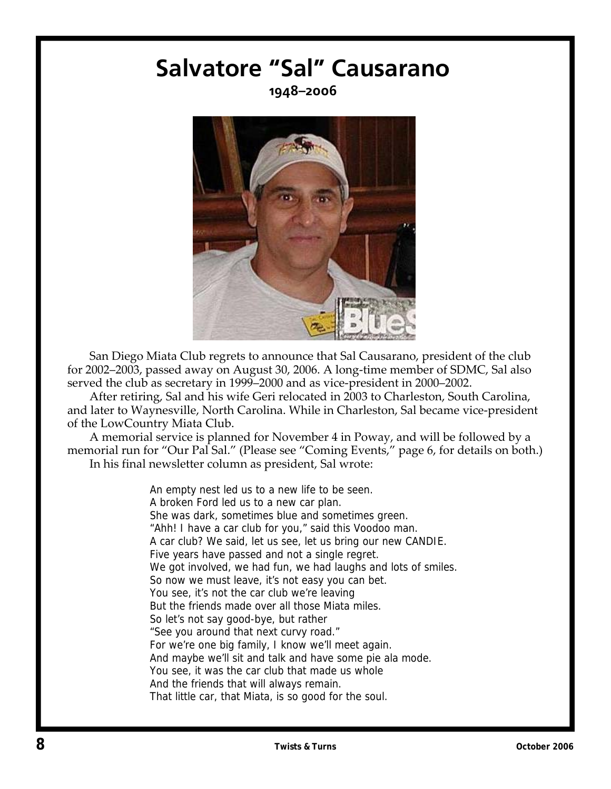# **Salvatore "Sal" Causarano**

**1948–2006** 



San Diego Miata Club regrets to announce that Sal Causarano, president of the club for 2002–2003, passed away on August 30, 2006. A long‐time member of SDMC, Sal also served the club as secretary in 1999–2000 and as vice-president in 2000–2002.

After retiring, Sal and his wife Geri relocated in 2003 to Charleston, South Carolina, and later to Waynesville, North Carolina. While in Charleston, Sal became vice‐president of the LowCountry Miata Club.

A memorial service is planned for November 4 in Poway, and will be followed by a memorial run for "Our Pal Sal." (Please see "Coming Events," page 6, for details on both.) In his final newsletter column as president, Sal wrote:

> An empty nest led us to a new life to be seen. A broken Ford led us to a new car plan. She was dark, sometimes blue and sometimes green. "Ahh! I have a car club for you," said this Voodoo man. A car club? We said, let us see, let us bring our new CANDIE. Five years have passed and not a single regret. We got involved, we had fun, we had laughs and lots of smiles. So now we must leave, it's not easy you can bet. You see, it's not the car club we're leaving But the friends made over all those Miata miles. So let's not say good-bye, but rather "See you around that next curvy road." For we're one big family, I know we'll meet again. And maybe we'll sit and talk and have some pie ala mode. You see, it was the car club that made us whole And the friends that will always remain. That little car, that Miata, is so good for the soul.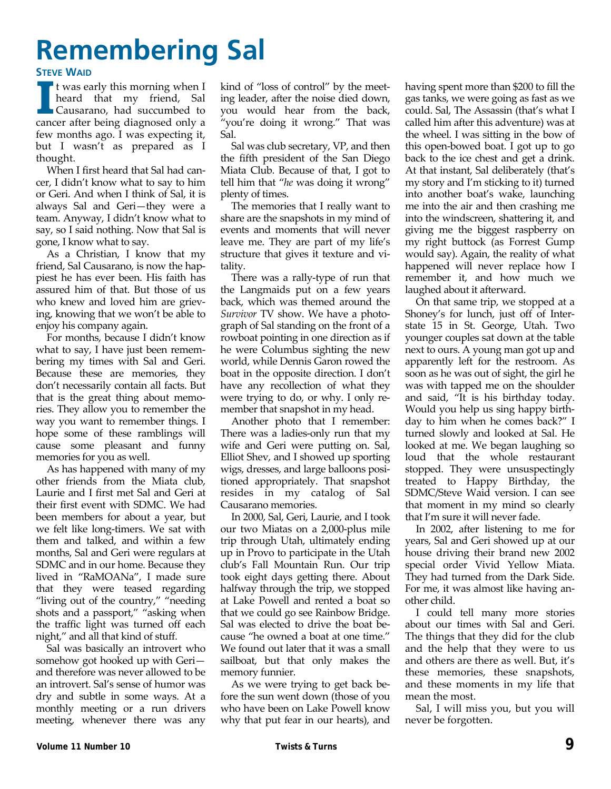# **Remembering Sal**

#### **STEVE WAID**

**I I I** was early this morning when I heard that my friend, Sal Causarano, had succumbed to cancer after being diagnosed only a few months ago. I was expecting it, but I wasn't as prepared as I thought.

When I first heard that Sal had cancer, I didn't know what to say to him or Geri. And when I think of Sal, it is always Sal and Geri—they were a team. Anyway, I didn't know what to say, so I said nothing. Now that Sal is gone, I know what to say.

As a Christian, I know that my friend, Sal Causarano, is now the hap‐ piest he has ever been. His faith has assured him of that. But those of us who knew and loved him are grieving, knowing that we won't be able to enjoy his company again.

For months, because I didn't know what to say, I have just been remembering my times with Sal and Geri. Because these are memories, they don't necessarily contain all facts. But that is the great thing about memo‐ ries. They allow you to remember the way you want to remember things. I hope some of these ramblings will cause some pleasant and funny memories for you as well.

As has happened with many of my other friends from the Miata club, Laurie and I first met Sal and Geri at their first event with SDMC. We had been members for about a year, but we felt like long-timers. We sat with them and talked, and within a few months, Sal and Geri were regulars at SDMC and in our home. Because they lived in "RaMOANa", I made sure that they were teased regarding "living out of the country," "needing shots and a passport," "asking when the traffic light was turned off each night," and all that kind of stuff.

Sal was basically an introvert who somehow got hooked up with Geri and therefore was never allowed to be an introvert. Sal's sense of humor was dry and subtle in some ways. At a monthly meeting or a run drivers meeting, whenever there was any kind of "loss of control" by the meet‐ ing leader, after the noise died down, you would hear from the back, "you're doing it wrong." That was Sal.

Sal was club secretary, VP, and then the fifth president of the San Diego Miata Club. Because of that, I got to tell him that "*he* was doing it wrong" plenty of times.

The memories that I really want to share are the snapshots in my mind of events and moments that will never leave me. They are part of my life's structure that gives it texture and vi‐ tality.

There was a rally‐type of run that the Langmaids put on a few years back, which was themed around the *Survivor* TV show. We have a photo‐ graph of Sal standing on the front of a rowboat pointing in one direction as if he were Columbus sighting the new world, while Dennis Garon rowed the boat in the opposite direction. I don't have any recollection of what they were trying to do, or why. I only re‐ member that snapshot in my head.

Another photo that I remember: There was a ladies‐only run that my wife and Geri were putting on. Sal, Elliot Shev, and I showed up sporting wigs, dresses, and large balloons posi‐ tioned appropriately. That snapshot resides in my catalog of Sal Causarano memories.

In 2000, Sal, Geri, Laurie, and I took our two Miatas on a 2,000‐plus mile trip through Utah, ultimately ending up in Provo to participate in the Utah club's Fall Mountain Run. Our trip took eight days getting there. About halfway through the trip, we stopped at Lake Powell and rented a boat so that we could go see Rainbow Bridge. Sal was elected to drive the boat be‐ cause "he owned a boat at one time." We found out later that it was a small sailboat, but that only makes the memory funnier.

As we were trying to get back be‐ fore the sun went down (those of you who have been on Lake Powell know why that put fear in our hearts), and having spent more than \$200 to fill the gas tanks, we were going as fast as we could. Sal, The Assassin (that's what I called him after this adventure) was at the wheel. I was sitting in the bow of this open‐bowed boat. I got up to go back to the ice chest and get a drink. At that instant, Sal deliberately (that's my story and I'm sticking to it) turned into another boat's wake, launching me into the air and then crashing me into the windscreen, shattering it, and giving me the biggest raspberry on my right buttock (as Forrest Gump would say). Again, the reality of what happened will never replace how I remember it, and how much we laughed about it afterward.

On that same trip, we stopped at a Shoney's for lunch, just off of Inter‐ state 15 in St. George, Utah. Two younger couples sat down at the table next to ours. A young man got up and apparently left for the restroom. As soon as he was out of sight, the girl he was with tapped me on the shoulder and said, "It is his birthday today. Would you help us sing happy birth‐ day to him when he comes back?" I turned slowly and looked at Sal. He looked at me. We began laughing so loud that the whole restaurant stopped. They were unsuspectingly treated to Happy Birthday, the SDMC/Steve Waid version. I can see that moment in my mind so clearly that I'm sure it will never fade.

In 2002, after listening to me for years, Sal and Geri showed up at our house driving their brand new 2002 special order Vivid Yellow Miata. They had turned from the Dark Side. For me, it was almost like having an‐ other child.

I could tell many more stories about our times with Sal and Geri. The things that they did for the club and the help that they were to us and others are there as well. But, it's these memories, these snapshots, and these moments in my life that mean the most.

Sal, I will miss you, but you will never be forgotten.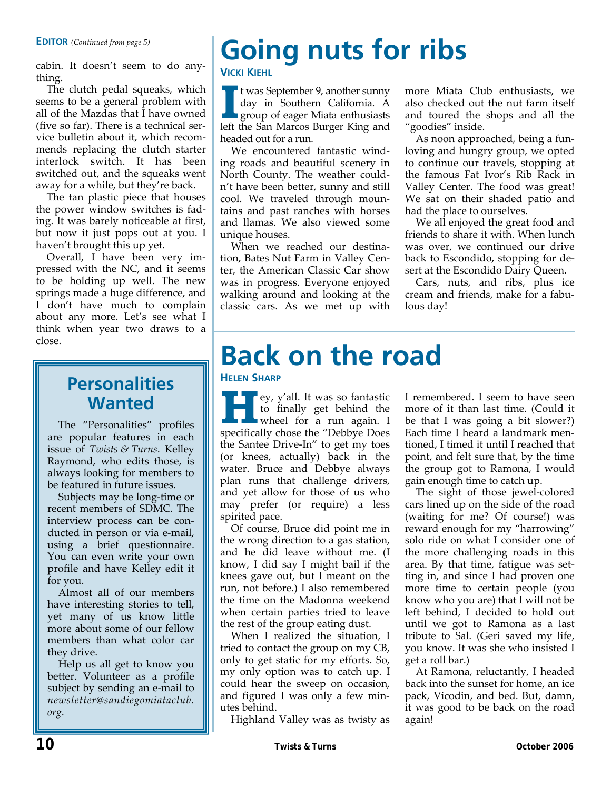cabin. It doesn't seem to do any‐ thing.

The clutch pedal squeaks, which seems to be a general problem with all of the Mazdas that I have owned (five so far). There is a technical ser‐ vice bulletin about it, which recom‐ mends replacing the clutch starter interlock switch. It has been switched out, and the squeaks went away for a while, but they're back.

The tan plastic piece that houses the power window switches is fad‐ ing. It was barely noticeable at first, but now it just pops out at you. I haven't brought this up yet.

Overall, I have been very im‐ pressed with the NC, and it seems to be holding up well. The new springs made a huge difference, and I don't have much to complain about any more. Let's see what I think when year two draws to a close.

## **Personalities**  $\parallel \parallel$ <sup>HELEN SHARP</sup> ey, y'all. It was so fantastic **Wanted**

The "Personalities" profiles are popular features in each issue of *Twists & Turns*. Kelley Raymond, who edits those, is always looking for members to be featured in future issues.

Subjects may be long‐time or recent members of SDMC. The interview process can be conducted in person or via e‐mail, using a brief questionnaire. You can even write your own profile and have Kelley edit it for you.

Almost all of our members have interesting stories to tell, yet many of us know little more about some of our fellow members than what color car they drive.

Help us all get to know you better. Volunteer as a profile subject by sending an e‐mail to *newsletter@sandiegomiataclub. org*.

# **Going nuts for ribs**

#### **VICKI KIEHL**

**I <sup>t</sup> was September 9, another sunny<br>day in Southern California. A<br>group of eager Miata enthusiasts<br>left the San Marcos Burger King and** day in Southern California. A group of eager Miata enthusiasts left the San Marcos Burger King and headed out for a run.

We encountered fantastic wind‐ ing roads and beautiful scenery in North County. The weather could‐ n't have been better, sunny and still cool. We traveled through moun‐ tains and past ranches with horses and llamas. We also viewed some unique houses.

When we reached our destination, Bates Nut Farm in Valley Cen‐ ter, the American Classic Car show was in progress. Everyone enjoyed walking around and looking at the classic cars. As we met up with more Miata Club enthusiasts, we also checked out the nut farm itself and toured the shops and all the "goodies" inside.

As noon approached, being a fun‐ loving and hungry group, we opted to continue our travels, stopping at the famous Fat Ivor's Rib Rack in Valley Center. The food was great! We sat on their shaded patio and had the place to ourselves.

We all enjoyed the great food and friends to share it with. When lunch was over, we continued our drive back to Escondido, stopping for de‐ sert at the Escondido Dairy Queen.

Cars, nuts, and ribs, plus ice cream and friends, make for a fabu‐ lous day!

# **Back on the road**

**H II ey, y'all. It was so fantastic**<br>to finally get behind the<br>wheel for a run again. I to finally get behind the specifically chose the "Debbye Does the Santee Drive‐In" to get my toes (or knees, actually) back in the water. Bruce and Debbye always plan runs that challenge drivers, and yet allow for those of us who may prefer (or require) a less spirited pace.

Of course, Bruce did point me in the wrong direction to a gas station, and he did leave without me. (I know, I did say I might bail if the knees gave out, but I meant on the run, not before.) I also remembered the time on the Madonna weekend when certain parties tried to leave the rest of the group eating dust.

When I realized the situation, I tried to contact the group on my CB, only to get static for my efforts. So, my only option was to catch up. I could hear the sweep on occasion, and figured I was only a few min‐ utes behind.

Highland Valley was as twisty as

I remembered. I seem to have seen more of it than last time. (Could it be that I was going a bit slower?) Each time I heard a landmark men‐ tioned, I timed it until I reached that point, and felt sure that, by the time the group got to Ramona, I would gain enough time to catch up.

The sight of those jewel-colored cars lined up on the side of the road (waiting for me? Of course!) was reward enough for my "harrowing" solo ride on what I consider one of the more challenging roads in this area. By that time, fatigue was set‐ ting in, and since I had proven one more time to certain people (you know who you are) that I will not be left behind, I decided to hold out until we got to Ramona as a last tribute to Sal. (Geri saved my life, you know. It was she who insisted I get a roll bar.)

At Ramona, reluctantly, I headed back into the sunset for home, an ice pack, Vicodin, and bed. But, damn, it was good to be back on the road again!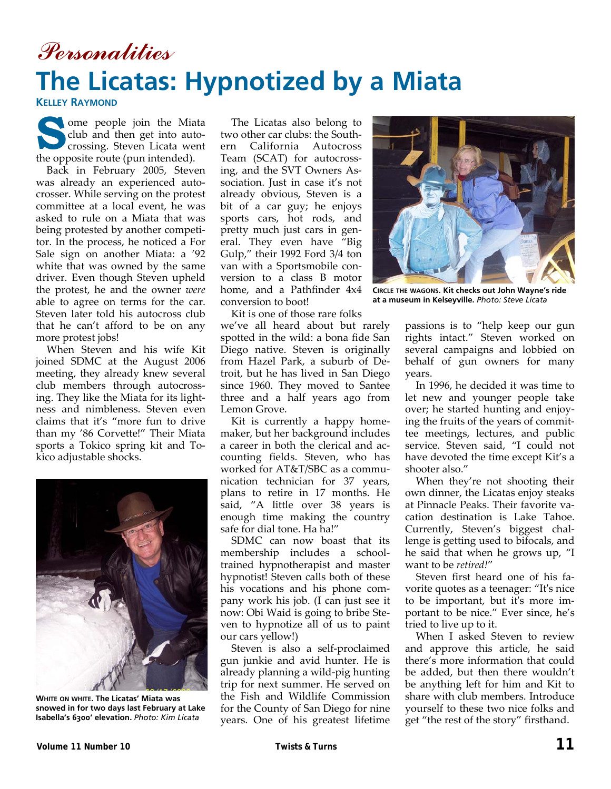## Personalities **The Licatas: Hypnotized by a Miata**

**KELLEY RAYMOND**

s ome people join the Miata<br>club and then get into auto-<br>crossing. Steven Licata went<br>the ennesite route (nun intended) club and then get into auto‐ the opposite route (pun intended).

Back in February 2005, Steven was already an experienced auto‐ crosser. While serving on the protest committee at a local event, he was asked to rule on a Miata that was being protested by another competi‐ tor. In the process, he noticed a For Sale sign on another Miata: a '92 white that was owned by the same driver. Even though Steven upheld the protest, he and the owner *were* able to agree on terms for the car. Steven later told his autocross club that he can't afford to be on any more protest jobs!

When Steven and his wife Kit joined SDMC at the August 2006 meeting, they already knew several club members through autocross‐ ing. They like the Miata for its light‐ ness and nimbleness. Steven even claims that it's "more fun to drive than my '86 Corvette!" Their Miata sports a Tokico spring kit and To‐ kico adjustable shocks.



**WHITE ON WHITE. The Licatas' Miata was snowed in for two days last February at Lake Isabella's 6300' elevation.** *Photo: Kim Licata* 

The Licatas also belong to two other car clubs: the South‐ ern California Autocross Team (SCAT) for autocrossing, and the SVT Owners As‐ sociation. Just in case it's not already obvious, Steven is a bit of a car guy; he enjoys sports cars, hot rods, and pretty much just cars in gen‐ eral. They even have "Big Gulp," their 1992 Ford 3/4 ton van with a Sportsmobile con‐ version to a class B motor home, and a Pathfinder 4x4 conversion to boot!

Kit is one of those rare folks

we've all heard about but rarely spotted in the wild: a bona fide San Diego native. Steven is originally from Hazel Park, a suburb of De‐ troit, but he has lived in San Diego since 1960. They moved to Santee three and a half years ago from Lemon Grove.

Kit is currently a happy home‐ maker, but her background includes a career in both the clerical and ac‐ counting fields. Steven, who has worked for AT&T/SBC as a commu‐ nication technician for 37 years, plans to retire in 17 months. He said, "A little over 38 years is enough time making the country safe for dial tone. Ha ha!"

SDMC can now boast that its membership includes a school‐ trained hypnotherapist and master hypnotist! Steven calls both of these his vocations and his phone com‐ pany work his job. (I can just see it now: Obi Waid is going to bribe Ste‐ ven to hypnotize all of us to paint our cars yellow!)

Steven is also a self‐proclaimed gun junkie and avid hunter. He is already planning a wild‐pig hunting trip for next summer. He served on the Fish and Wildlife Commission for the County of San Diego for nine years. One of his greatest lifetime



**CIRCLE THE WAGONS. Kit checks out John Wayne's ride at a museum in Kelseyville.** *Photo: Steve Licata* 

passions is to "help keep our gun rights intact." Steven worked on several campaigns and lobbied on behalf of gun owners for many years.

In 1996, he decided it was time to let new and younger people take over; he started hunting and enjoy‐ ing the fruits of the years of commit‐ tee meetings, lectures, and public service. Steven said, "I could not have devoted the time except Kit's a shooter also."

When they're not shooting their own dinner, the Licatas enjoy steaks at Pinnacle Peaks. Their favorite va‐ cation destination is Lake Tahoe. Currently, Steven's biggest chal‐ lenge is getting used to bifocals, and he said that when he grows up, "I want to be *retired!*"

Steven first heard one of his fa‐ vorite quotes as a teenager: "Itʹs nice to be important, but itʹs more im‐ portant to be nice." Ever since, he's tried to live up to it.

When I asked Steven to review and approve this article, he said there's more information that could be added, but then there wouldn't be anything left for him and Kit to share with club members. Introduce yourself to these two nice folks and get "the rest of the story" firsthand.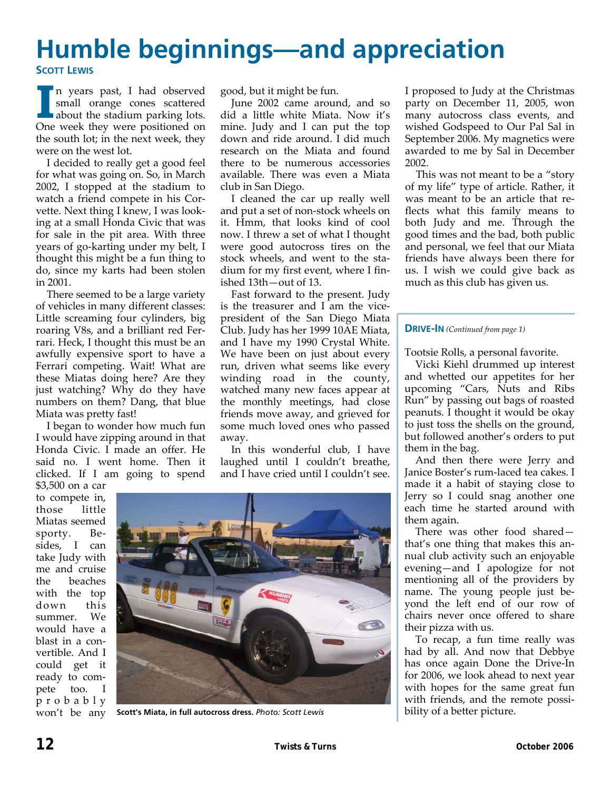## **Humble beginnings—and appreciation SCOTT LEWIS**

**I n** years past, I had observed<br>
small orange cones scattered<br>
about the stadium parking lots. small orange cones scattered One week they were positioned on the south lot; in the next week, they were on the west lot.

I decided to really get a good feel for what was going on. So, in March 2002, I stopped at the stadium to watch a friend compete in his Corvette. Next thing I knew, I was look‐ ing at a small Honda Civic that was for sale in the pit area. With three years of go-karting under my belt, I thought this might be a fun thing to do, since my karts had been stolen in 2001.

There seemed to be a large variety of vehicles in many different classes: Little screaming four cylinders, big roaring V8s, and a brilliant red Fer‐ rari. Heck, I thought this must be an awfully expensive sport to have a Ferrari competing. Wait! What are these Miatas doing here? Are they just watching? Why do they have numbers on them? Dang, that blue Miata was pretty fast!

I began to wonder how much fun I would have zipping around in that Honda Civic. I made an offer. He said no. I went home. Then it clicked. If I am going to spend

good, but it might be fun.

June 2002 came around, and so did a little white Miata. Now it's mine. Judy and I can put the top down and ride around. I did much research on the Miata and found there to be numerous accessories available. There was even a Miata club in San Diego.

I cleaned the car up really well and put a set of non‐stock wheels on it. Hmm, that looks kind of cool now. I threw a set of what I thought were good autocross tires on the stock wheels, and went to the stadium for my first event, where I fin‐ ished 13th—out of 13.

Fast forward to the present. Judy is the treasurer and I am the vicepresident of the San Diego Miata Club. Judy has her 1999 10AE Miata, and I have my 1990 Crystal White. We have been on just about every run, driven what seems like every winding road in the county, watched many new faces appear at the monthly meetings, had close friends move away, and grieved for some much loved ones who passed away.

In this wonderful club, I have laughed until I couldn't breathe, and I have cried until I couldn't see.

\$3,500 on a car to compete in, those little Miatas seemed sporty. Besides, I can take Judy with me and cruise the beaches with the top down this summer. We would have a blast in a con‐ vertible. And I could get it ready to com‐ pete too. I probably won't be any



**Scott's Miata, in full autocross dress.** *Photo: Scott Lewis* 

I proposed to Judy at the Christmas party on December 11, 2005, won many autocross class events, and wished Godspeed to Our Pal Sal in September 2006. My magnetics were awarded to me by Sal in December 2002.

This was not meant to be a "story of my life" type of article. Rather, it was meant to be an article that reflects what this family means to both Judy and me. Through the good times and the bad, both public and personal, we feel that our Miata friends have always been there for us. I wish we could give back as much as this club has given us.

#### **DRIVE-IN** *(Continued from page 1)*

Tootsie Rolls, a personal favorite.

Vicki Kiehl drummed up interest and whetted our appetites for her upcoming "Cars, Nuts and Ribs Run" by passing out bags of roasted peanuts. I thought it would be okay to just toss the shells on the ground, but followed another's orders to put them in the bag.

And then there were Jerry and Janice Boster's rum‐laced tea cakes. I made it a habit of staying close to Jerry so I could snag another one each time he started around with them again.

There was other food shared that's one thing that makes this an‐ nual club activity such an enjoyable evening—and I apologize for not mentioning all of the providers by name. The young people just be‐ yond the left end of our row of chairs never once offered to share their pizza with us.

To recap, a fun time really was had by all. And now that Debbye has once again Done the Drive‐In for 2006, we look ahead to next year with hopes for the same great fun with friends, and the remote possibility of a better picture.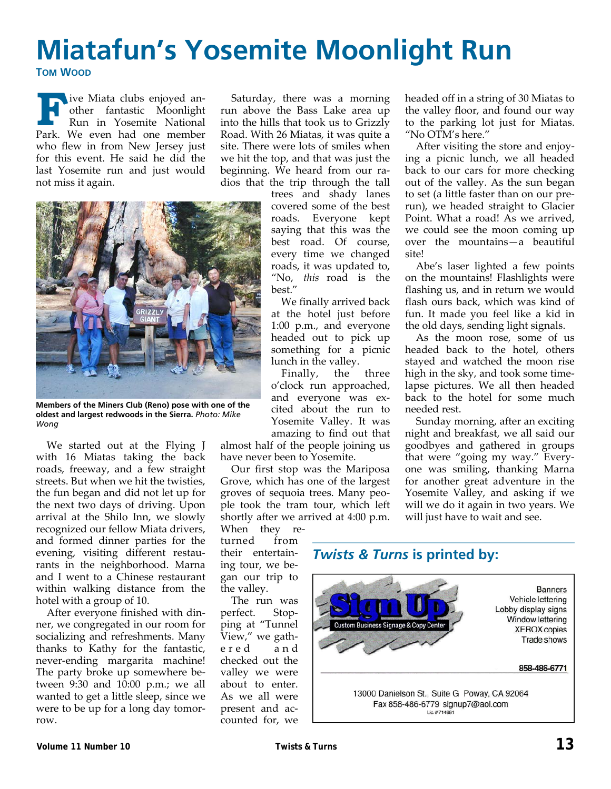## **Miatafun's Yosemite Moonlight Run TOM WOOD**

**F**ive Miata clubs enjoyed an-<br>other fantastic Moonlight<br>Run in Yosemite National<br>Park We even had one member other fantastic Moonlight Run in Yosemite National Park. We even had one member who flew in from New Jersey just for this event. He said he did the last Yosemite run and just would not miss it again.

Saturday, there was a morning run above the Bass Lake area up into the hills that took us to Grizzly Road. With 26 Miatas, it was quite a site. There were lots of smiles when we hit the top, and that was just the beginning. We heard from our ra‐ dios that the trip through the tall



**Members of the Miners Club (Reno) pose with one of the oldest and largest redwoods in the Sierra.** *Photo: Mike Wong* 

We started out at the Flying J with 16 Miatas taking the back roads, freeway, and a few straight streets. But when we hit the twisties, the fun began and did not let up for the next two days of driving. Upon arrival at the Shilo Inn, we slowly recognized our fellow Miata drivers, and formed dinner parties for the evening, visiting different restau‐ rants in the neighborhood. Marna and I went to a Chinese restaurant within walking distance from the hotel with a group of 10.

After everyone finished with din‐ ner, we congregated in our room for socializing and refreshments. Many thanks to Kathy for the fantastic, never‐ending margarita machine! The party broke up somewhere be‐ tween 9:30 and 10:00 p.m.; we all wanted to get a little sleep, since we were to be up for a long day tomorrow.

trees and shady lanes covered some of the best roads. Everyone kept saying that this was the best road. Of course, every time we changed roads, it was updated to, "No, *this* road is the best."

We finally arrived back at the hotel just before 1:00 p.m., and everyone headed out to pick up something for a picnic lunch in the valley.

Finally, the three o'clock run approached, and everyone was ex‐ cited about the run to Yosemite Valley. It was amazing to find out that

almost half of the people joining us have never been to Yosemite.

Our first stop was the Mariposa Grove, which has one of the largest groves of sequoia trees. Many peo‐ ple took the tram tour, which left shortly after we arrived at 4:00 p.m.

When they returned from their entertain‐ ing tour, we be‐ gan our trip to the valley.

The run was perfect. Stop‐ ping at "Tunnel View," we gath‐ ered and checked out the valley we were about to enter. As we all were present and ac‐ counted for, we headed off in a string of 30 Miatas to the valley floor, and found our way to the parking lot just for Miatas. "No OTM's here."

After visiting the store and enjoy‐ ing a picnic lunch, we all headed back to our cars for more checking out of the valley. As the sun began to set (a little faster than on our pre‐ run), we headed straight to Glacier Point. What a road! As we arrived, we could see the moon coming up over the mountains—a beautiful site!

Abe's laser lighted a few points on the mountains! Flashlights were flashing us, and in return we would flash ours back, which was kind of fun. It made you feel like a kid in the old days, sending light signals.

As the moon rose, some of us headed back to the hotel, others stayed and watched the moon rise high in the sky, and took some time‐ lapse pictures. We all then headed back to the hotel for some much needed rest.

Sunday morning, after an exciting night and breakfast, we all said our goodbyes and gathered in groups that were "going my way." Every‐ one was smiling, thanking Marna for another great adventure in the Yosemite Valley, and asking if we will we do it again in two years. We will just have to wait and see.

### *Twists & Turns* **is printed by:**

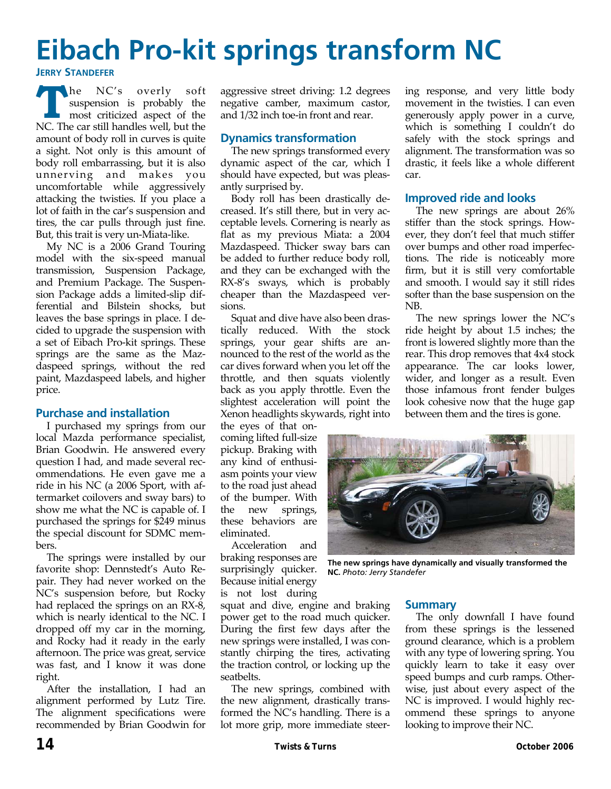# **Eibach Pro-kit springs transform NC**

#### **JERRY STANDEFER**

**T The NC's** overly soft<br>
most criticized aspect of the<br>
NC The car still handles well but the suspension is probably the NC. The car still handles well, but the amount of body roll in curves is quite a sight. Not only is this amount of body roll embarrassing, but it is also unnerving and makes you uncomfortable while aggressively attacking the twisties. If you place a lot of faith in the car's suspension and tires, the car pulls through just fine. But, this trait is very un‐Miata‐like.

My NC is a 2006 Grand Touring model with the six‐speed manual transmission, Suspension Package, and Premium Package. The Suspen‐ sion Package adds a limited‐slip dif‐ ferential and Bilstein shocks, but leaves the base springs in place. I de‐ cided to upgrade the suspension with a set of Eibach Pro‐kit springs. These springs are the same as the Mazdaspeed springs, without the red paint, Mazdaspeed labels, and higher price.

#### **Purchase and installation**

I purchased my springs from our local Mazda performance specialist, Brian Goodwin. He answered every question I had, and made several rec‐ ommendations. He even gave me a ride in his NC (a 2006 Sport, with af‐ termarket coilovers and sway bars) to show me what the NC is capable of. I purchased the springs for \$249 minus the special discount for SDMC mem‐ bers.

The springs were installed by our favorite shop: Dennstedt's Auto Re‐ pair. They had never worked on the NC's suspension before, but Rocky had replaced the springs on an RX‐8, which is nearly identical to the NC. I dropped off my car in the morning, and Rocky had it ready in the early afternoon. The price was great, service was fast, and I know it was done right.

After the installation, I had an alignment performed by Lutz Tire. The alignment specifications were recommended by Brian Goodwin for aggressive street driving: 1.2 degrees negative camber, maximum castor, and 1/32 inch toe‐in front and rear.

#### **Dynamics transformation**

The new springs transformed every dynamic aspect of the car, which I should have expected, but was pleas‐ antly surprised by.

Body roll has been drastically de‐ creased. It's still there, but in very ac‐ ceptable levels. Cornering is nearly as flat as my previous Miata: a 2004 Mazdaspeed. Thicker sway bars can be added to further reduce body roll, and they can be exchanged with the RX‐8's sways, which is probably cheaper than the Mazdaspeed ver‐ sions.

Squat and dive have also been dras‐ tically reduced. With the stock springs, your gear shifts are an‐ nounced to the rest of the world as the car dives forward when you let off the throttle, and then squats violently back as you apply throttle. Even the slightest acceleration will point the Xenon headlights skywards, right into

the eyes of that on‐ coming lifted full‐size pickup. Braking with any kind of enthusi‐ asm points your view to the road just ahead of the bumper. With the new springs, these behaviors are eliminated.

Acceleration and braking responses are surprisingly quicker. Because initial energy is not lost during

squat and dive, engine and braking power get to the road much quicker. During the first few days after the new springs were installed, I was con‐ stantly chirping the tires, activating the traction control, or locking up the seatbelts.

The new springs, combined with the new alignment, drastically trans‐ formed the NC's handling. There is a lot more grip, more immediate steer‐

ing response, and very little body movement in the twisties. I can even generously apply power in a curve, which is something I couldn't do safely with the stock springs and alignment. The transformation was so drastic, it feels like a whole different car.

#### **Improved ride and looks**

The new springs are about 26% stiffer than the stock springs. How‐ ever, they don't feel that much stiffer over bumps and other road imperfec‐ tions. The ride is noticeably more firm, but it is still very comfortable and smooth. I would say it still rides softer than the base suspension on the NB.

The new springs lower the NC's ride height by about 1.5 inches; the front is lowered slightly more than the rear. This drop removes that 4x4 stock appearance. The car looks lower, wider, and longer as a result. Even those infamous front fender bulges look cohesive now that the huge gap between them and the tires is gone.



**The new springs have dynamically and visually transformed the NC.** *Photo: Jerry Standefer*

#### **Summary**

The only downfall I have found from these springs is the lessened ground clearance, which is a problem with any type of lowering spring. You quickly learn to take it easy over speed bumps and curb ramps. Other‐ wise, just about every aspect of the NC is improved. I would highly recommend these springs to anyone looking to improve their NC.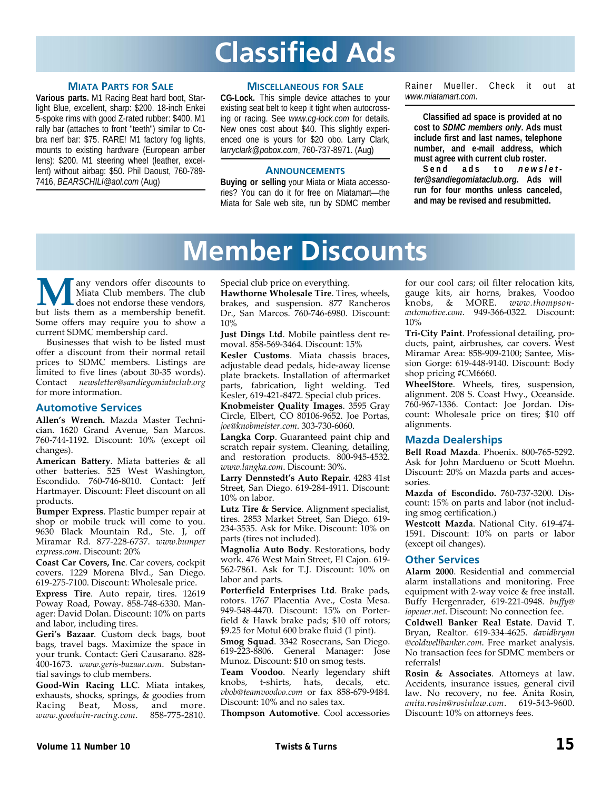# **Classified Ads**

#### **MIATA PARTS FOR SALE**

**Various parts.** M1 Racing Beat hard boot, Starlight Blue, excellent, sharp: \$200. 18-inch Enkei 5-spoke rims with good Z-rated rubber: \$400. M1 rally bar (attaches to front "teeth") similar to Cobra nerf bar: \$75. RARE! M1 factory fog lights, mounts to existing hardware (European amber lens): \$200. M1 steering wheel (leather, excellent) without airbag: \$50. Phil Daoust, 760-789- 7416, *BEARSCHILI@aol.com* (Aug)

#### **MISCELLANEOUS FOR SALE**

**CG-Lock.** This simple device attaches to your existing seat belt to keep it tight when autocrossing or racing. See *www.cg-lock.com* for details. New ones cost about \$40. This slightly experienced one is yours for \$20 obo. Larry Clark, *larryclark@pobox.com*, 760-737-8971. (Aug)

#### **ANNOUNCEMENTS**

**Buying or selling** your Miata or Miata accessories? You can do it for free on Miatamart—the Miata for Sale web site, run by SDMC member Rainer Mueller. Check it out at *www.miatamart.com*.

**Classified ad space is provided at no cost to** *SDMC members only***. Ads must include first and last names, telephone number, and e-mail address, which must agree with current club roster.** 

**Send ads to** *newsletter@sandiegomiataclub.org***. Ads will run for four months unless canceled, and may be revised and resubmitted.** 

# **Member Discounts**

**Many** vendors offer discounts to Miata Club members. The club does not endorse these vendors, but lists them as a membership benefit. Miata Club members. The club does not endorse these vendors, Some offers may require you to show a current SDMC membership card.

Businesses that wish to be listed must offer a discount from their normal retail prices to SDMC members. Listings are limited to five lines (about 30‐35 words). Contact *newsletter@sandiegomiataclub.org* for more information.

#### **Automotive Services**

**Allen's Wrench.** Mazda Master Techni‐ cian. 1620 Grand Avenue, San Marcos. 760‐744‐1192. Discount: 10% (except oil changes).

**American Battery**. Miata batteries & all other batteries. 525 West Washington, Escondido. 760‐746‐8010. Contact: Jeff Hartmayer. Discount: Fleet discount on all products.

**Bumper Express**. Plastic bumper repair at shop or mobile truck will come to you. 9630 Black Mountain Rd., Ste. J, off Miramar Rd. 877‐228‐6737. *www.bumper express.com*. Discount: 20%

**Coast Car Covers, Inc**. Car covers, cockpit covers. 1229 Morena Blvd., San Diego. 619‐275‐7100. Discount: Wholesale price.

**Express Tire**. Auto repair, tires. 12619 Poway Road, Poway. 858‐748‐6330. Man‐ ager: David Dolan. Discount: 10% on parts and labor, including tires.

**Geri's Bazaar**. Custom deck bags, boot bags, travel bags. Maximize the space in your trunk. Contact: Geri Causarano. 828‐ 400‐1673. *www.geris‐bazaar.com*. Substan‐ tial savings to club members.

**Good‐Win Racing LLC**. Miata intakes, exhausts, shocks, springs, & goodies from Racing Beat, Moss, and more.<br>www.goodwin-racing.com. 858-775-2810. www.goodwin-racing.com.

Special club price on everything.

**Hawthorne Wholesale Tire**. Tires, wheels, brakes, and suspension. 877 Rancheros Dr., San Marcos. 760‐746‐6980. Discount: 10%

**Just Dings Ltd**. Mobile paintless dent re‐ moval. 858‐569‐3464. Discount: 15%

**Kesler Customs**. Miata chassis braces, adjustable dead pedals, hide‐away license plate brackets. Installation of aftermarket parts, fabrication, light welding. Ted Kesler, 619‐421‐8472. Special club prices.

**Knobmeister Quality Images**. 3595 Gray Circle, Elbert, CO 80106‐9652. Joe Portas, *joe@knobmeister.com*. 303‐730‐6060.

**Langka Corp**. Guaranteed paint chip and scratch repair system. Cleaning, detailing, and restoration products. 800-945-4532. *www.langka.com*. Discount: 30%.

**Larry Dennstedt's Auto Repair**. 4283 41st Street, San Diego. 619‐284‐4911. Discount: 10% on labor.

**Lutz Tire & Service**. Alignment specialist, tires. 2853 Market Street, San Diego. 619‐ 234‐3535. Ask for Mike. Discount: 10% on parts (tires not included).

**Magnolia Auto Body**. Restorations, body work. 476 West Main Street, El Cajon. 619‐ 562‐7861. Ask for T.J. Discount: 10% on labor and parts.

**Porterfield Enterprises Ltd**. Brake pads, rotors. 1767 Placentia Ave., Costa Mesa. 949‐548‐4470. Discount: 15% on Porter‐ field & Hawk brake pads; \$10 off rotors; \$9.25 for Motul 600 brake fluid (1 pint).

**Smog Squad**. 3342 Rosecrans, San Diego. 619‐223‐8806. General Manager: Jose Munoz. Discount: \$10 on smog tests.

**Team Voodoo**. Nearly legendary shift knobs, t‐shirts, hats, decals, etc. *vbob@teamvoodoo.com* or fax 858‐679‐9484. Discount: 10% and no sales tax.

**Thompson Automotive**. Cool accessories

for our cool cars; oil filter relocation kits, gauge kits, air horns, brakes, Voodoo knobs, & MORE. *www.thompson‐ automotive.com*. 949‐366‐0322. Discount: 10%

**Tri‐City Paint**. Professional detailing, pro‐ ducts, paint, airbrushes, car covers. West Miramar Area: 858‐909‐2100; Santee, Mis‐ sion Gorge: 619‐448‐9140. Discount: Body shop pricing #CM6660.

**WheelStore**. Wheels, tires, suspension, alignment. 208 S. Coast Hwy., Oceanside. 760‐967‐1336. Contact: Joe Jordan. Dis‐ count: Wholesale price on tires; \$10 off alignments.

#### **Mazda Dealerships**

**Bell Road Mazda**. Phoenix. 800‐765‐5292. Ask for John Mardueno or Scott Moehn. Discount: 20% on Mazda parts and acces‐ sories.

**Mazda of Escondido.** 760‐737‐3200. Dis‐ count: 15% on parts and labor (not includ‐ ing smog certification.)

**Westcott Mazda**. National City. 619‐474‐ 1591. Discount: 10% on parts or labor (except oil changes).

#### **Other Services**

**Alarm 2000**. Residential and commercial alarm installations and monitoring. Free equipment with 2‐way voice & free install. Buffy Hergenrader, 619‐221‐0948. *buffy@ iopener.net*. Discount: No connection fee.

**Coldwell Banker Real Estate**. David T. Bryan, Realtor. 619‐334‐4625. *davidbryan @coldwellbanker.com*. Free market analysis. No transaction fees for SDMC members or referrals!

**Rosin & Associates**. Attorneys at law. Accidents, insurance issues, general civil law. No recovery, no fee. Anita Rosin, *anita.rosin@rosinlaw.com*. 619‐543‐9600. Discount: 10% on attorneys fees.